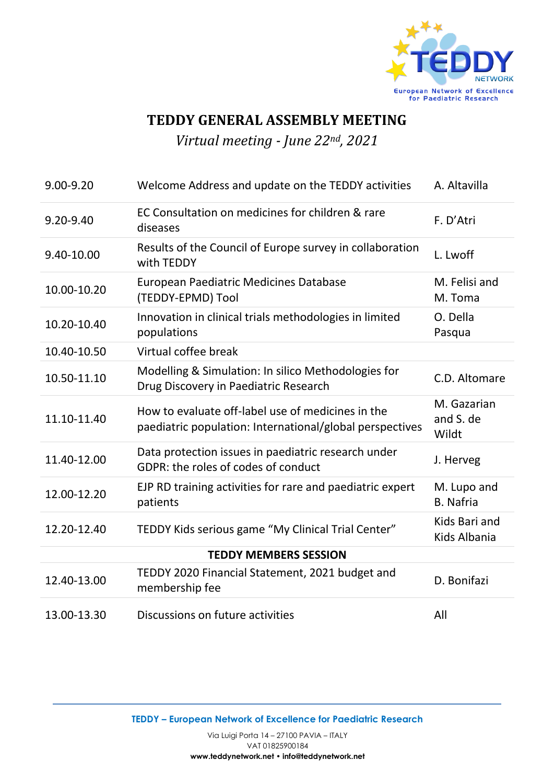

## **TEDDY GENERAL ASSEMBLY MEETING**

*Virtual meeting - June 22nd, 2021*

| 9.00-9.20                    | Welcome Address and update on the TEDDY activities                                                            | A. Altavilla                      |
|------------------------------|---------------------------------------------------------------------------------------------------------------|-----------------------------------|
| 9.20-9.40                    | EC Consultation on medicines for children & rare<br>diseases                                                  | F. D'Atri                         |
| 9.40-10.00                   | Results of the Council of Europe survey in collaboration<br>with TEDDY                                        | L. Lwoff                          |
| 10.00-10.20                  | <b>European Paediatric Medicines Database</b><br>(TEDDY-EPMD) Tool                                            | M. Felisi and<br>M. Toma          |
| 10.20-10.40                  | Innovation in clinical trials methodologies in limited<br>populations                                         | O. Della<br>Pasqua                |
| 10.40-10.50                  | Virtual coffee break                                                                                          |                                   |
| 10.50-11.10                  | Modelling & Simulation: In silico Methodologies for<br>Drug Discovery in Paediatric Research                  | C.D. Altomare                     |
| 11.10-11.40                  | How to evaluate off-label use of medicines in the<br>paediatric population: International/global perspectives | M. Gazarian<br>and S. de<br>Wildt |
| 11.40-12.00                  | Data protection issues in paediatric research under<br>GDPR: the roles of codes of conduct                    | J. Herveg                         |
| 12.00-12.20                  | EJP RD training activities for rare and paediatric expert<br>patients                                         | M. Lupo and<br><b>B.</b> Nafria   |
| 12.20-12.40                  | TEDDY Kids serious game "My Clinical Trial Center"                                                            | Kids Bari and<br>Kids Albania     |
| <b>TEDDY MEMBERS SESSION</b> |                                                                                                               |                                   |
| 12.40-13.00                  | TEDDY 2020 Financial Statement, 2021 budget and<br>membership fee                                             | D. Bonifazi                       |
| 13.00-13.30                  | Discussions on future activities                                                                              | All                               |

**TEDDY – European Network of Excellence for Paediatric Research**